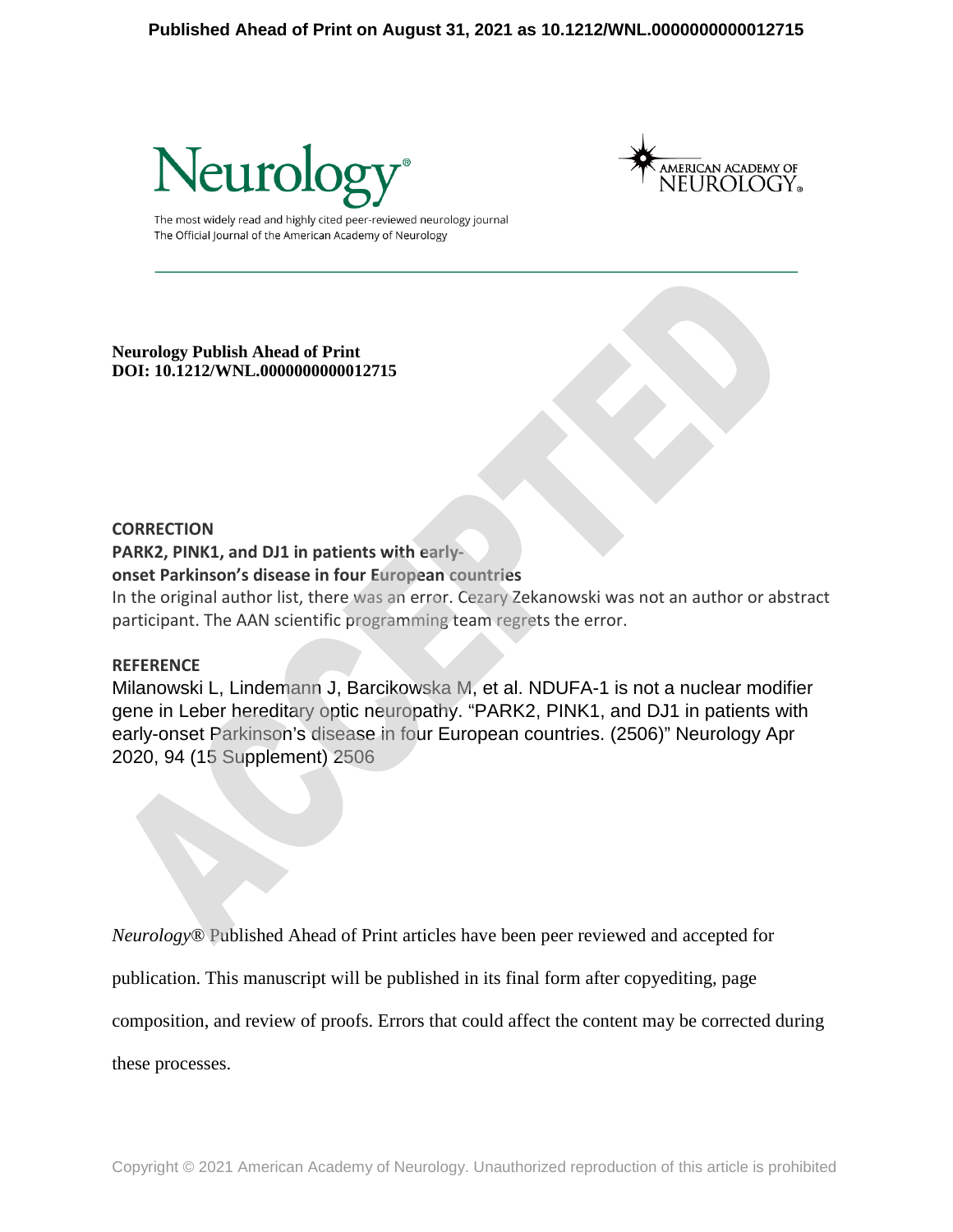



The most widely read and highly cited peer-reviewed neurology journal The Official Journal of the American Academy of Neurology

**Neurology Publish Ahead of Print DOI: 10.1212/WNL.0000000000012715** 

#### **CORRECTION**

**PARK2, PINK1, and DJ1 in patients with early-**

# **onset Parkinson's disease in four European countries**

In the original author list, there was an error. Cezary Zekanowski was not an author or abstract participant. The AAN scientific programming team regrets the error.

## **REFERENCE**

Milanowski L, Lindemann J, Barcikowska M, et al. NDUFA-1 is not a nuclear modifier gene in Leber hereditary optic neuropathy. "PARK2, PINK1, and DJ1 in patients with early-onset Parkinson's disease in four European countries. (2506)" Neurology Apr 2020, 94 (15 Supplement) 2506

*Neurology*® Published Ahead of Print articles have been peer reviewed and accepted for

publication. This manuscript will be published in its final form after copyediting, page

composition, and review of proofs. Errors that could affect the content may be corrected during

these processes.